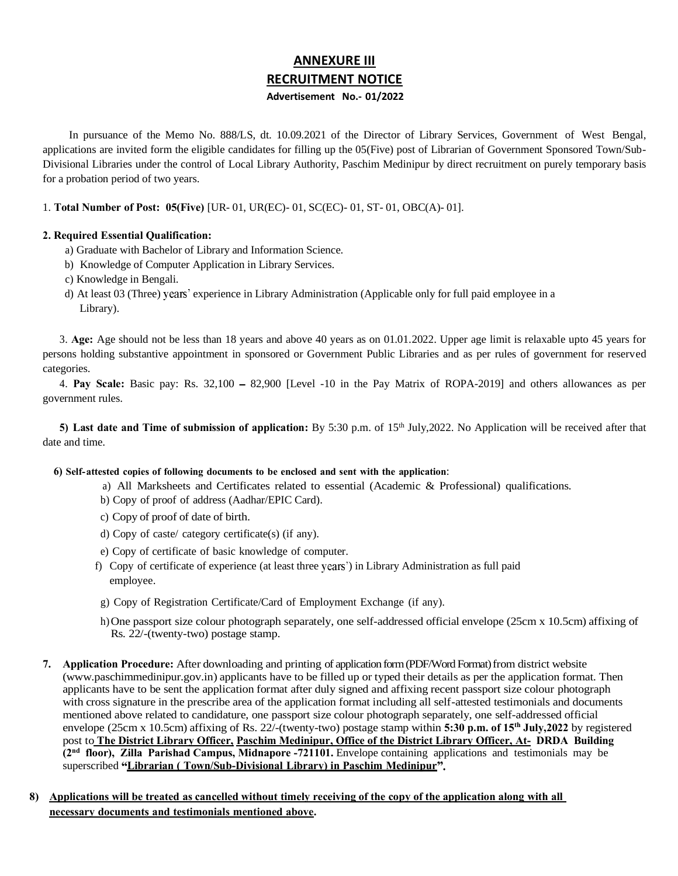# ANNEXURE III RECRUITMENT NOTICE Advertisement No.- 01/2022

In pursuance of the Memo No. 888/LS, dt. 10.09.2021 of the Director of Library Services, Government of West Bengal, applications are invited form the eligible candidates for filling up the 05(Five) post of Librarian of Government Sponsored Town/Sub-Divisional Libraries under the control of Local Library Authority, Paschim Medinipur by direct recruitment on purely temporary basis for a probation period of two years.

1. **Total Number of Post: 05(Five)** [UR- 01, UR(EC)- 01, SC(EC)- 01, ST- 01, OBC(A)- 01].

## **2. Required Essential Qualification:**

- a) Graduate with Bachelor of Library and Information Science.
- b) Knowledge of Computer Application in Library Services.
- c) Knowledge in Bengali.
- d) At least 03 (Three) years' experience in Library Administration (Applicable only for full paid employee in a Library).

3. **Age:** Age should not be less than 18 years and above 40 years as on 01.01.2022. Upper age limit is relaxable upto 45 years for persons holding substantive appointment in sponsored or Government Public Libraries and as per rules of government for reserved categories.

4. **Pay Scale:** Basic pay: Rs. 32,100 - 82,900 [Level -10 in the Pay Matrix of ROPA-2019] and others allowances as per government rules.

**5) Last date and Time of submission of application:** By 5:30 p.m. of 15th July,2022. No Application will be received after that date and time.

### **6) Self-attested copies of following documents to be enclosed and sent with the application**:

- a) All Marksheets and Certificates related to essential (Academic & Professional) qualifications.
- b) Copy of proof of address (Aadhar/EPIC Card).
- c) Copy of proof of date of birth.
- d) Copy of caste/ category certificate(s) (if any).
- e) Copy of certificate of basic knowledge of computer.
- f) Copy of certificate of experience (at least three years') in Library Administration as full paid employee.
- g) Copy of Registration Certificate/Card of Employment Exchange (if any).
- h)One passport size colour photograph separately, one self-addressed official envelope (25cm x 10.5cm) affixing of Rs. 22/-(twenty-two) postage stamp.
- **7. Application Procedure:** After downloading and printing of applicationform(PDF/Word Format) from district website (www.paschimmedinipur.gov.in) applicants have to be filled up or typed their details as per the application format. Then applicants have to be sent the application format after duly signed and affixing recent passport size colour photograph with cross signature in the prescribe area of the application format including all self-attested testimonials and documents mentioned above related to candidature, one passport size colour photograph separately, one self-addressed official envelope (25cm x 10.5cm) affixing of Rs. 22/-(twenty-two) postage stamp within **5:30 p.m. of 15th July,2022** by registered post to **The District Library Officer, Paschim Medinipur, Office of the District Library Officer, At- DRDA Building (2nd floor), Zilla Parishad Campus, Midnapore -721101.** Envelope containing applications and testimonials may be superscribed **Librarian ( Town/Sub-Divisional Library) in Paschim Medinipur**
- **8) Applications will be treated as cancelled without timely receiving of the copy of the application along with all necessary documents and testimonials mentioned above.**